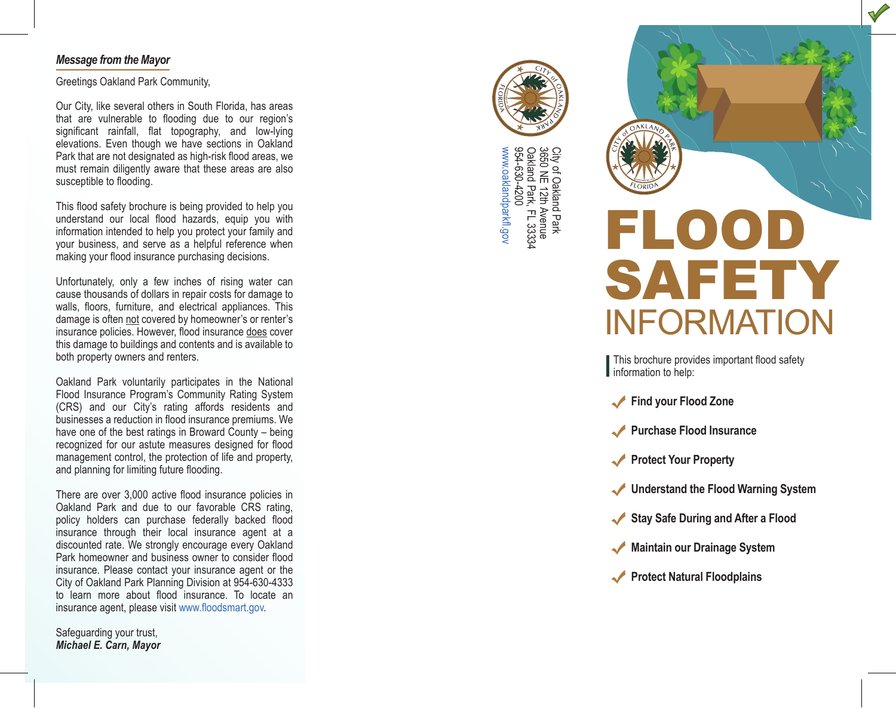#### *Message from the Mayor* Message from the Mayor ×, ۰  $\overline{\phantom{a}}$

Greetings Oakland Park Community, Greetings Oakland Park Community,

Our City, like several others in South Florida, has areas that are vulnerable to flooding due to our region's significant rainfall, flat topography, and low-lying elevations. Even though we have sections in Oakland Park that are not designated as high-risk flood areas, we r are that are not designated as high-risk hood areas, we must remain diligently aware that these areas are also susceptible to flooding.

This flood safety brochure is being provided to help you understand our local flood hazards, equip you with information intended to help you protect your family and your business, and serve as a helpful reference when making your flood insurance purchasing decisions. decisions.

Unfortunately, only a few inches of rising water can cause thousands of dollars in repair costs for damage to walls, floors, furniture, and electrical appliances. This damage is often not covered by homeowner's or renter's insurance policies. However, flood insurance does cover this damage to buildings and contents and is available to both property owners and renters.

Oakland Park voluntarily participates in the National Flood Insurance Program's Community Rating System (CRS) and our City's rating affords residents and businesses a reduction in flood insurance premiums. We have one of the best ratings in Broward County – being recognized for our astute measures designed for flood management control, the protection of life and property, and planning for limiting future flooding.

There are over 3,000 active flood insurance policies in Oakland Park and due to our favorable CRS rating, policy holders can purchase federally backed flood insurance through their local insurance agent at a discounted rate. We strongly encourage every Oakland Park homeowner and business owner to consider flood insurance. Please contact your insurance agent or the City of Oakland Park Planning Division at 954-630-4333 to learn more about flood insurance. To locate an insurance agent, please visit www.floodsmart.gov. policies are over 3,000 active flood insurance policies in policy noiders can purchase rederally backed hood

Safeguarding your trust, *Michael E. Carn, Mayor*



3650 NE 12th City of Oakland Park City of Oakland Park<br>3650 NE 12th Avenue<br>Oakland Park, FL 33334<br>954-630-4200 Oakland Park, FL 33334 www.oaklandparkfl.gov 954-630-4200 .oaklandparkfl.gov



This brochure provides important flood safety information to help: Flood Insurance<br>Flood Insurance

- **Find your Flood Zone**  $\bullet$  Protection  $\bullet$
- **Purchase Flood Insurance**  $\sqrt{U}$  . The flood the Flood measure
- **Protect Your Property**  $\sqrt{10000}$  Form  $\sqrt{200}$
- Understand the Flood Warning System
- Stay Safe During and After a Flood
- **Maintain our Drainage System** Protect
- **Protect Natural Floodplains**